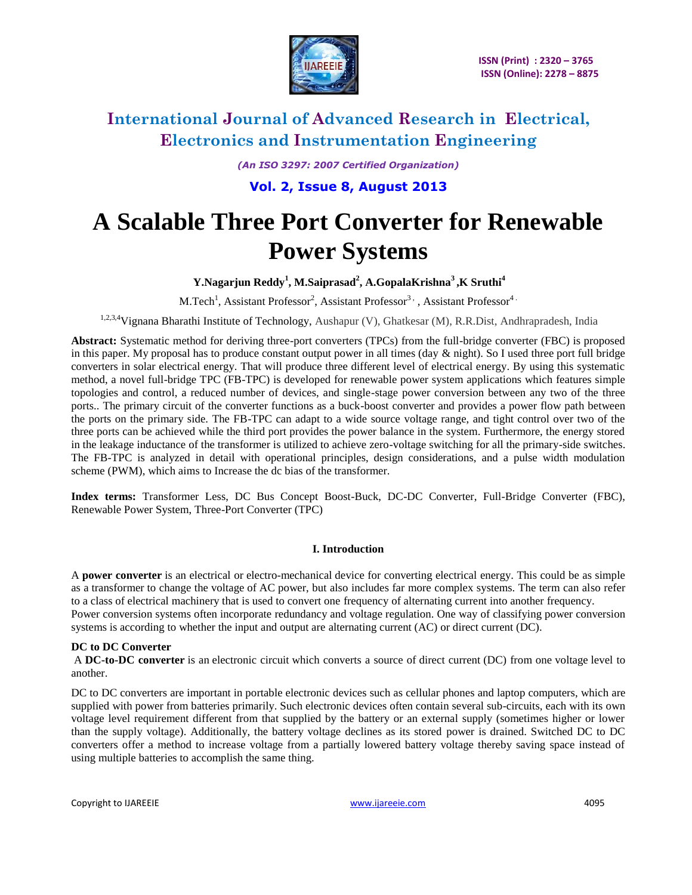

*(An ISO 3297: 2007 Certified Organization)* **Vol. 2, Issue 8, August 2013**

# **A Scalable Three Port Converter for Renewable Power Systems**

### **Y.Nagarjun Reddy<sup>1</sup> , M.Saiprasad<sup>2</sup> , A.GopalaKrishna<sup>3</sup>,K Sruthi<sup>4</sup>**

M.Tech<sup>1</sup>, Assistant Professor<sup>2</sup>, Assistant Professor<sup>3,</sup>, Assistant Professor<sup>4</sup>.

1,2,3,4Vignana Bharathi Institute of Technology, Aushapur (V), Ghatkesar (M), R.R.Dist, Andhrapradesh, India

**Abstract:** Systematic method for deriving three-port converters (TPCs) from the full-bridge converter (FBC) is proposed in this paper. My proposal has to produce constant output power in all times (day  $\&$  night). So I used three port full bridge converters in solar electrical energy. That will produce three different level of electrical energy. By using this systematic method, a novel full-bridge TPC (FB-TPC) is developed for renewable power system applications which features simple topologies and control, a reduced number of devices, and single-stage power conversion between any two of the three ports.. The primary circuit of the converter functions as a buck-boost converter and provides a power flow path between the ports on the primary side. The FB-TPC can adapt to a wide source voltage range, and tight control over two of the three ports can be achieved while the third port provides the power balance in the system. Furthermore, the energy stored in the leakage inductance of the transformer is utilized to achieve zero-voltage switching for all the primary-side switches. The FB-TPC is analyzed in detail with operational principles, design considerations, and a pulse width modulation scheme (PWM), which aims to Increase the dc bias of the transformer.

**Index terms:** Transformer Less, DC Bus Concept Boost-Buck, DC-DC Converter, Full-Bridge Converter (FBC), Renewable Power System, Three-Port Converter (TPC)

#### **I. Introduction**

A **power converter** is an electrical or [electro-mechanical](http://en.wikipedia.org/wiki/Electro-mechanical) device for converting electrical energy. This could be as simple as a [transformer](http://en.wikipedia.org/wiki/Transformer) to change the [voltage](http://en.wikipedia.org/wiki/Voltage) of [AC](http://en.wikipedia.org/wiki/Alternating_current) power, but also includes far more complex systems. The term can also refer to a class of electrical machinery that is used to convert one [frequency](http://en.wikipedia.org/wiki/Utility_frequency) of [alternating current](http://en.wikipedia.org/wiki/Alternating_current) into another frequency. Power conversion systems often incorporate [redundancy](http://en.wikipedia.org/wiki/Redundancy_(engineering)) and [voltage regulation.](http://en.wikipedia.org/wiki/Voltage_regulation) One way of classifying power conversion systems is according to whether the input and output are [alternating current](http://en.wikipedia.org/wiki/Alternating_current) (AC) or [direct current](http://en.wikipedia.org/wiki/Direct_current) (DC).

#### **DC to DC Converter**

A **DC-to-DC converter** is an [electronic](http://en.wikipedia.org/wiki/Electronic_circuit) circuit which converts a source of [direct current](http://en.wikipedia.org/wiki/Direct_current) (DC) from one [voltage](http://en.wikipedia.org/wiki/Voltage) level to another.

DC to DC converters are important in portable electronic devices such as [cellular phones](http://en.wikipedia.org/wiki/Cellular_phone) and [laptop computers,](http://en.wikipedia.org/wiki/Laptop_computer) which are supplied with power from [batteries](http://en.wikipedia.org/wiki/Battery_(electricity)) primarily. Such electronic devices often contain several sub[-circuits,](http://en.wikipedia.org/wiki/Electrical_network) each with its own voltage level requirement different from that supplied by the battery or an external supply (sometimes higher or lower than the supply voltage). Additionally, the battery voltage declines as its stored power is drained. Switched DC to DC converters offer a method to increase voltage from a partially lowered battery voltage thereby saving space instead of using multiple batteries to accomplish the same thing.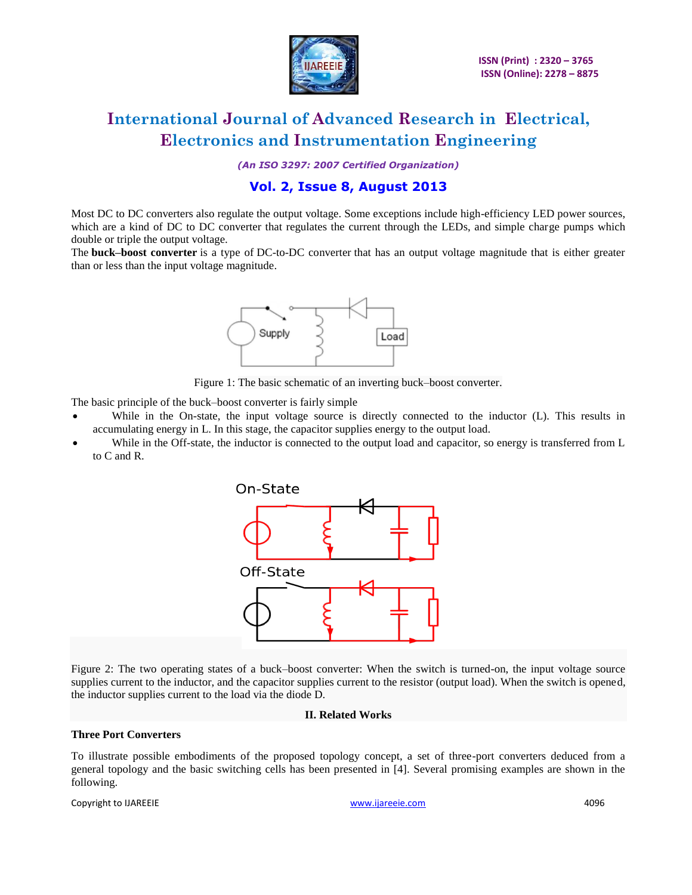

*(An ISO 3297: 2007 Certified Organization)*

### **Vol. 2, Issue 8, August 2013**

Most DC to DC converters also regulate the output voltage. Some exceptions include high-efficiency [LED power sources,](http://en.wikipedia.org/wiki/LED_power_sources) which are a kind of DC to DC converter that regulates the current through the LEDs, and simple charge pumps which double or triple the output voltage.

The **buck–boost converter** is a type of [DC-to-DC converter](http://en.wikipedia.org/wiki/DC-to-DC_converter) that has an output voltage magnitude that is either greater than or less than the input voltage magnitude.



Figure 1: The basic schematic of an inverting buck–boost converter.

The basic principle of the buck–boost converter is fairly simple

- While in the On-state, the input voltage source is directly connected to the inductor (L). This results in accumulating energy in L. In this stage, the capacitor supplies energy to the output load.
- While in the Off-state, the inductor is connected to the output load and capacitor, so energy is transferred from L to C and R.



Figure 2: The two operating states of a buck–boost converter: When the switch is turned-on, the input voltage source supplies current to the inductor, and the capacitor supplies current to the resistor (output load). When the switch is opened, the inductor supplies current to the load via the diode D.

#### **II. Related Works**

#### **Three Port Converters**

To illustrate possible embodiments of the proposed topology concept, a set of three-port converters deduced from a general topology and the basic switching cells has been presented in [4]. Several promising examples are shown in the following.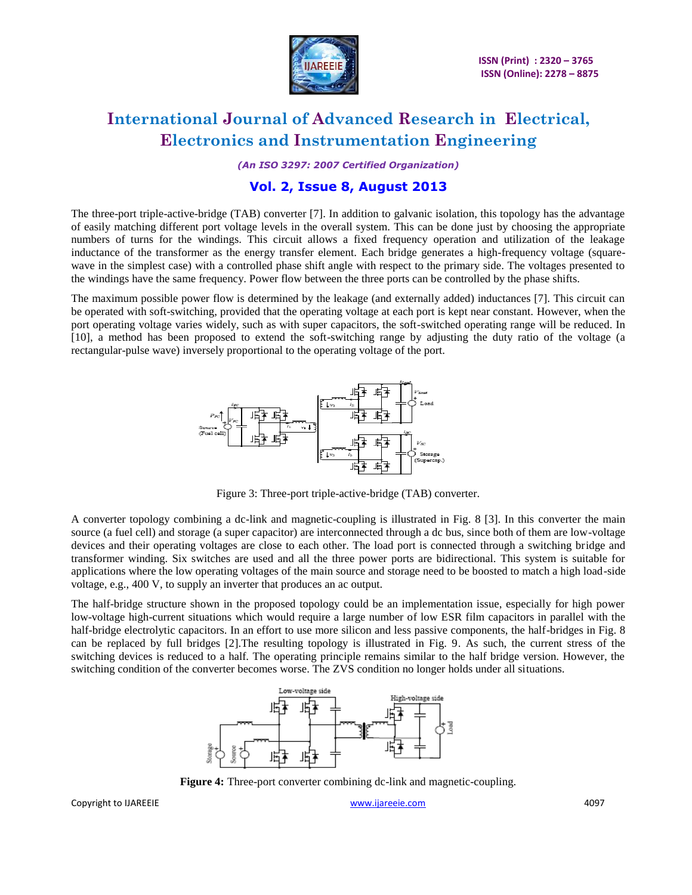

*(An ISO 3297: 2007 Certified Organization)*

### **Vol. 2, Issue 8, August 2013**

The three-port triple-active-bridge (TAB) converter [7]. In addition to galvanic isolation, this topology has the advantage of easily matching different port voltage levels in the overall system. This can be done just by choosing the appropriate numbers of turns for the windings. This circuit allows a fixed frequency operation and utilization of the leakage inductance of the transformer as the energy transfer element. Each bridge generates a high-frequency voltage (squarewave in the simplest case) with a controlled phase shift angle with respect to the primary side. The voltages presented to the windings have the same frequency. Power flow between the three ports can be controlled by the phase shifts.

The maximum possible power flow is determined by the leakage (and externally added) inductances [7]. This circuit can be operated with soft-switching, provided that the operating voltage at each port is kept near constant. However, when the port operating voltage varies widely, such as with super capacitors, the soft-switched operating range will be reduced. In [10], a method has been proposed to extend the soft-switching range by adjusting the duty ratio of the voltage (a rectangular-pulse wave) inversely proportional to the operating voltage of the port.



Figure 3: Three-port triple-active-bridge (TAB) converter.

A converter topology combining a dc-link and magnetic-coupling is illustrated in Fig. 8 [3]. In this converter the main source (a fuel cell) and storage (a super capacitor) are interconnected through a dc bus, since both of them are low-voltage devices and their operating voltages are close to each other. The load port is connected through a switching bridge and transformer winding. Six switches are used and all the three power ports are bidirectional. This system is suitable for applications where the low operating voltages of the main source and storage need to be boosted to match a high load-side voltage, e.g., 400 V, to supply an inverter that produces an ac output.

The half-bridge structure shown in the proposed topology could be an implementation issue, especially for high power low-voltage high-current situations which would require a large number of low ESR film capacitors in parallel with the half-bridge electrolytic capacitors. In an effort to use more silicon and less passive components, the half-bridges in Fig. 8 can be replaced by full bridges [2].The resulting topology is illustrated in Fig. 9. As such, the current stress of the switching devices is reduced to a half. The operating principle remains similar to the half bridge version. However, the switching condition of the converter becomes worse. The ZVS condition no longer holds under all situations.



**Figure 4:** Three-port converter combining dc-link and magnetic-coupling.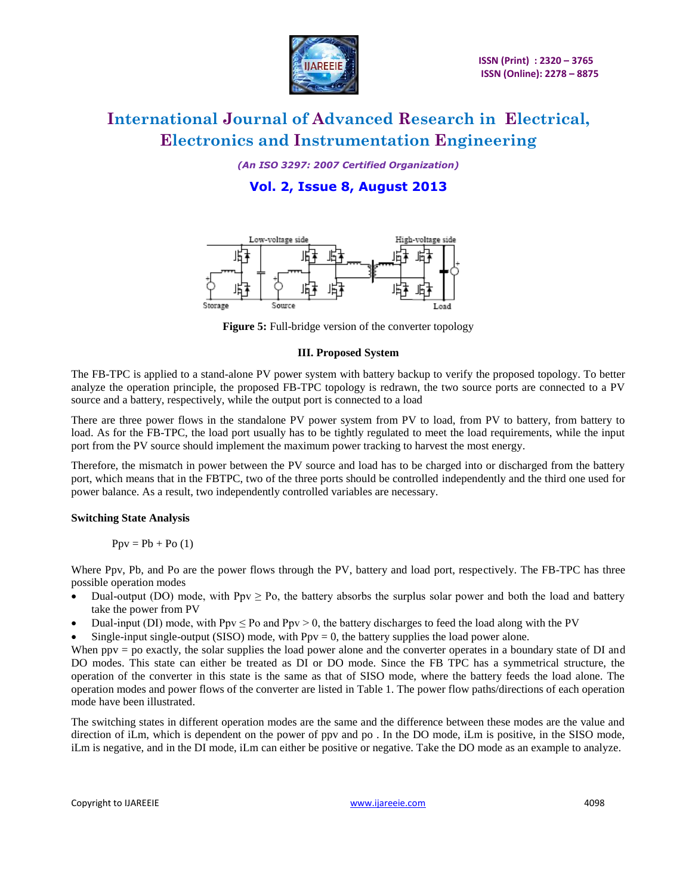

*(An ISO 3297: 2007 Certified Organization)*

**Vol. 2, Issue 8, August 2013**



**Figure 5:** Full-bridge version of the converter topology

#### **III. Proposed System**

The FB-TPC is applied to a stand-alone PV power system with battery backup to verify the proposed topology. To better analyze the operation principle, the proposed FB-TPC topology is redrawn, the two source ports are connected to a PV source and a battery, respectively, while the output port is connected to a load

There are three power flows in the standalone PV power system from PV to load, from PV to battery, from battery to load. As for the FB-TPC, the load port usually has to be tightly regulated to meet the load requirements, while the input port from the PV source should implement the maximum power tracking to harvest the most energy.

Therefore, the mismatch in power between the PV source and load has to be charged into or discharged from the battery port, which means that in the FBTPC, two of the three ports should be controlled independently and the third one used for power balance. As a result, two independently controlled variables are necessary.

### **Switching State Analysis**

$$
Ppv = Pb + Po(1)
$$

Where Ppv, Pb, and Po are the power flows through the PV, battery and load port, respectively. The FB-TPC has three possible operation modes

- Dual-output (DO) mode, with  $Ppv \ge Po$ , the battery absorbs the surplus solar power and both the load and battery take the power from PV
- Dual-input (DI) mode, with Ppv  $\leq$  Po and Ppv  $>$  0, the battery discharges to feed the load along with the PV
- Single-input single-output (SISO) mode, with  $Ppv = 0$ , the battery supplies the load power alone.

When ppv = po exactly, the solar supplies the load power alone and the converter operates in a boundary state of DI and DO modes. This state can either be treated as DI or DO mode. Since the FB TPC has a symmetrical structure, the operation of the converter in this state is the same as that of SISO mode, where the battery feeds the load alone. The operation modes and power flows of the converter are listed in Table 1. The power flow paths/directions of each operation mode have been illustrated.

The switching states in different operation modes are the same and the difference between these modes are the value and direction of iLm, which is dependent on the power of ppv and po . In the DO mode, iLm is positive, in the SISO mode, iLm is negative, and in the DI mode, iLm can either be positive or negative. Take the DO mode as an example to analyze.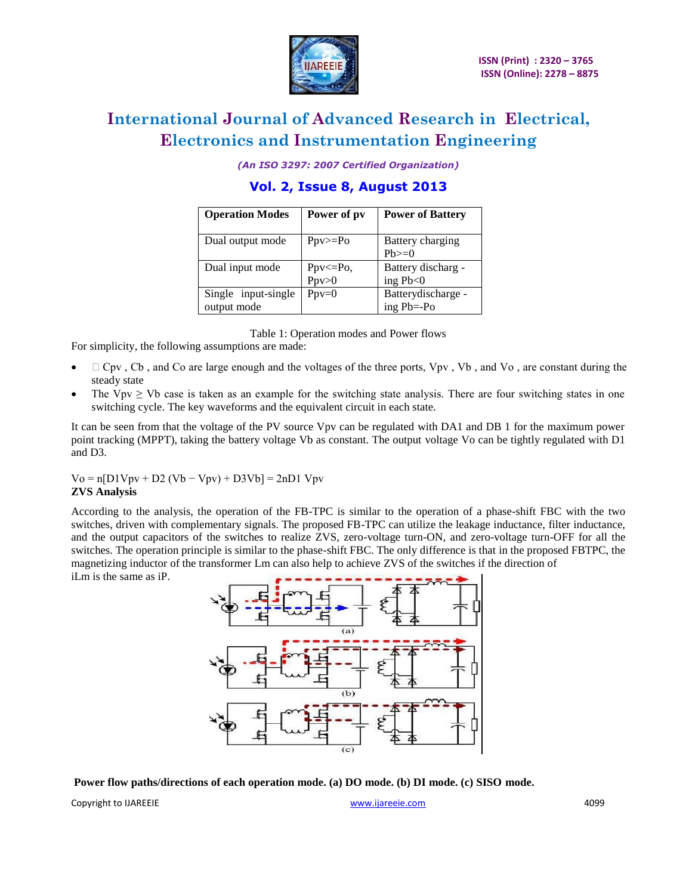

*(An ISO 3297: 2007 Certified Organization)*

### **Vol. 2, Issue 8, August 2013**

| <b>Operation Modes</b>             | Power of pv             | <b>Power of Battery</b>              |  |
|------------------------------------|-------------------------|--------------------------------------|--|
| Dual output mode                   | $Ppv>=Po$               | Battery charging<br>$Ph \geq 0$      |  |
| Dual input mode                    | $Ppv \le Po$ ,<br>Ppv>0 | Battery discharg -<br>ing $Pb<0$     |  |
| Single input-single<br>output mode | $Ppv=0$                 | Batterydischarge -<br>ing $Pb = -Po$ |  |

Table 1: Operation modes and Power flows

For simplicity, the following assumptions are made:

- $\Box$  Cpv, Cb, and Co are large enough and the voltages of the three ports, Vpv, Vb, and Vo, are constant during the steady state
- The Vpv  $\geq$  Vb case is taken as an example for the switching state analysis. There are four switching states in one switching cycle. The key waveforms and the equivalent circuit in each state.

It can be seen from that the voltage of the PV source Vpv can be regulated with DA1 and DB 1 for the maximum power point tracking (MPPT), taking the battery voltage Vb as constant. The output voltage Vo can be tightly regulated with D1 and D3.

 $V_0 = n[D1Vpv + D2 (Vb - Vpv) + D3Vb] = 2nD1 Vpv$ **ZVS Analysis**

According to the analysis, the operation of the FB-TPC is similar to the operation of a phase-shift FBC with the two switches, driven with complementary signals. The proposed FB-TPC can utilize the leakage inductance, filter inductance, and the output capacitors of the switches to realize ZVS, zero-voltage turn-ON, and zero-voltage turn-OFF for all the switches. The operation principle is similar to the phase-shift FBC. The only difference is that in the proposed FBTPC, the magnetizing inductor of the transformer Lm can also help to achieve ZVS of the switches if the direction of iLm is the same as iP.



**Power flow paths/directions of each operation mode. (a) DO mode. (b) DI mode. (c) SISO mode.**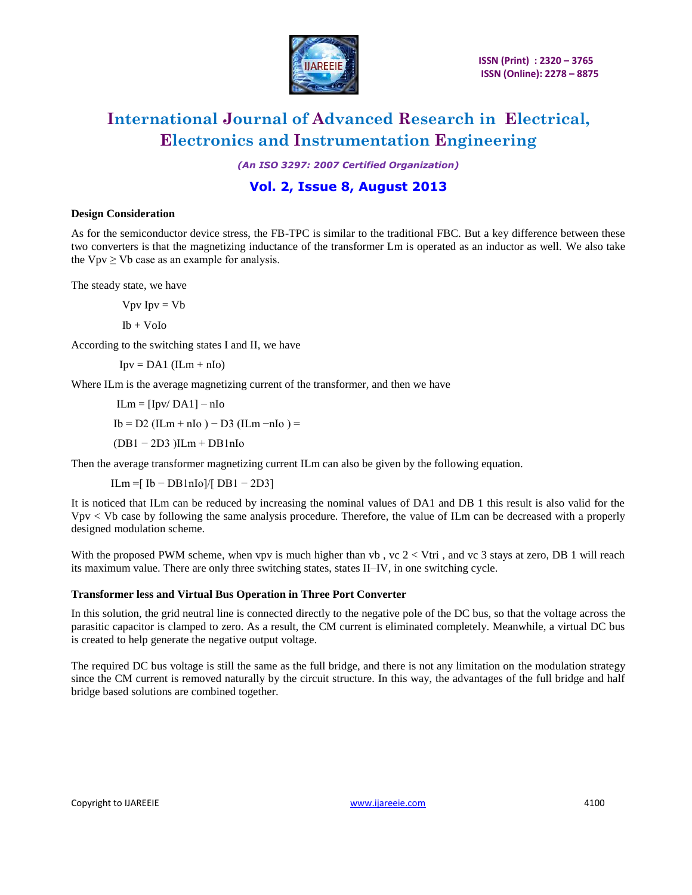

*(An ISO 3297: 2007 Certified Organization)*

### **Vol. 2, Issue 8, August 2013**

#### **Design Consideration**

As for the semiconductor device stress, the FB-TPC is similar to the traditional FBC. But a key difference between these two converters is that the magnetizing inductance of the transformer Lm is operated as an inductor as well. We also take the  $Vpv \geq Vb$  case as an example for analysis.

The steady state, we have

 $Vpv$  Ipv =  $Vb$ 

Ib + VoIo

According to the switching states I and II, we have

 $Ipv = DA1$  (ILm + nIo)

Where ILm is the average magnetizing current of the transformer, and then we have

 $ILm = [Ipv/DA1] - nIo$  $Ib = D2$  (ILm + nIo) – D3 (ILm -nIo) = (DB1 − 2D3 )ILm + DB1nIo

Then the average transformer magnetizing current ILm can also be given by the following equation.

ILm =[ Ib − DB1nIo]/[ DB1 − 2D3]

It is noticed that ILm can be reduced by increasing the nominal values of DA1 and DB 1 this result is also valid for the Vpv < Vb case by following the same analysis procedure. Therefore, the value of ILm can be decreased with a properly designed modulation scheme.

With the proposed PWM scheme, when vpv is much higher than vb, vc  $2 < Vtri$ , and vc 3 stays at zero, DB 1 will reach its maximum value. There are only three switching states, states II–IV, in one switching cycle.

#### **Transformer less and Virtual Bus Operation in Three Port Converter**

In this solution, the grid neutral line is connected directly to the negative pole of the DC bus, so that the voltage across the parasitic capacitor is clamped to zero. As a result, the CM current is eliminated completely. Meanwhile, a virtual DC bus is created to help generate the negative output voltage.

The required DC bus voltage is still the same as the full bridge, and there is not any limitation on the modulation strategy since the CM current is removed naturally by the circuit structure. In this way, the advantages of the full bridge and half bridge based solutions are combined together.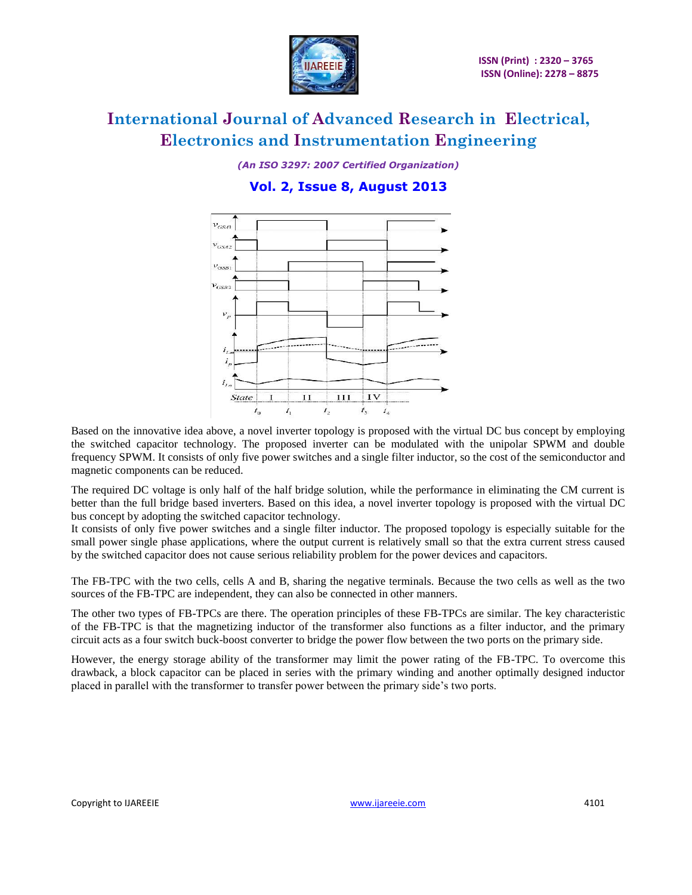

*(An ISO 3297: 2007 Certified Organization)* **Vol. 2, Issue 8, August 2013**



Based on the innovative idea above, a novel inverter topology is proposed with the virtual DC bus concept by employing the switched capacitor technology. The proposed inverter can be modulated with the unipolar SPWM and double frequency SPWM. It consists of only five power switches and a single filter inductor, so the cost of the semiconductor and magnetic components can be reduced.

The required DC voltage is only half of the half bridge solution, while the performance in eliminating the CM current is better than the full bridge based inverters. Based on this idea, a novel inverter topology is proposed with the virtual DC bus concept by adopting the switched capacitor technology.

It consists of only five power switches and a single filter inductor. The proposed topology is especially suitable for the small power single phase applications, where the output current is relatively small so that the extra current stress caused by the switched capacitor does not cause serious reliability problem for the power devices and capacitors.

The FB-TPC with the two cells, cells A and B, sharing the negative terminals. Because the two cells as well as the two sources of the FB-TPC are independent, they can also be connected in other manners.

The other two types of FB-TPCs are there. The operation principles of these FB-TPCs are similar. The key characteristic of the FB-TPC is that the magnetizing inductor of the transformer also functions as a filter inductor, and the primary circuit acts as a four switch buck-boost converter to bridge the power flow between the two ports on the primary side.

However, the energy storage ability of the transformer may limit the power rating of the FB-TPC. To overcome this drawback, a block capacitor can be placed in series with the primary winding and another optimally designed inductor placed in parallel with the transformer to transfer power between the primary side's two ports.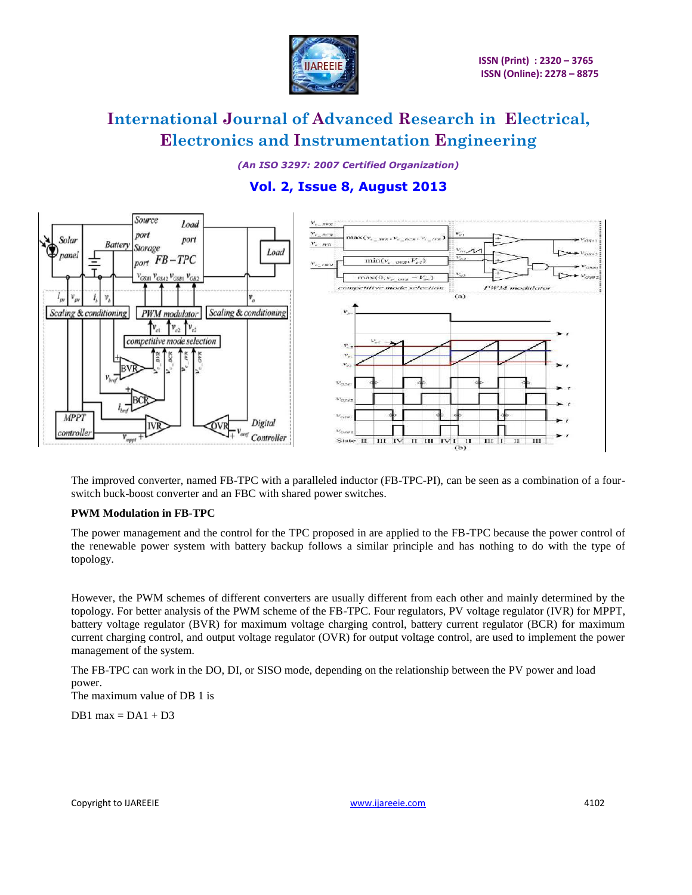

*(An ISO 3297: 2007 Certified Organization)* **Vol. 2, Issue 8, August 2013**



The improved converter, named FB-TPC with a paralleled inductor (FB-TPC-PI), can be seen as a combination of a fourswitch buck-boost converter and an FBC with shared power switches.

#### **PWM Modulation in FB-TPC**

The power management and the control for the TPC proposed in are applied to the FB-TPC because the power control of the renewable power system with battery backup follows a similar principle and has nothing to do with the type of topology.

However, the PWM schemes of different converters are usually different from each other and mainly determined by the topology. For better analysis of the PWM scheme of the FB-TPC. Four regulators, PV voltage regulator (IVR) for MPPT, battery voltage regulator (BVR) for maximum voltage charging control, battery current regulator (BCR) for maximum current charging control, and output voltage regulator (OVR) for output voltage control, are used to implement the power management of the system.

The FB-TPC can work in the DO, DI, or SISO mode, depending on the relationship between the PV power and load power.

The maximum value of DB 1 is

DB1 max =  $DA1 + D3$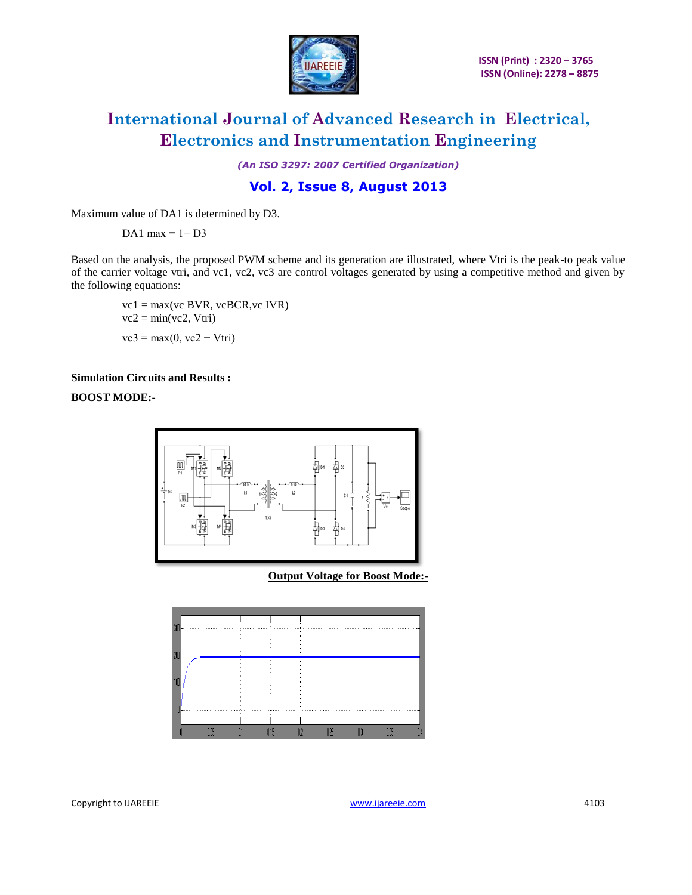

*(An ISO 3297: 2007 Certified Organization)*

### **Vol. 2, Issue 8, August 2013**

Maximum value of DA1 is determined by D3.

DA1 max =  $1 - D3$ 

Based on the analysis, the proposed PWM scheme and its generation are illustrated, where Vtri is the peak-to peak value of the carrier voltage vtri, and vc1, vc2, vc3 are control voltages generated by using a competitive method and given by the following equations:

 vc1 = max(vc BVR, vcBCR,vc IVR)  $vc2 = min(vc2, Vtri)$  $vc3 = max(0, vc2 - Vtri)$ 

#### **Simulation Circuits and Results :**

**BOOST MODE:-**



**Output Voltage for Boost Mode:-**

| m |  | <br> |  |  |
|---|--|------|--|--|
|   |  |      |  |  |
|   |  |      |  |  |
|   |  |      |  |  |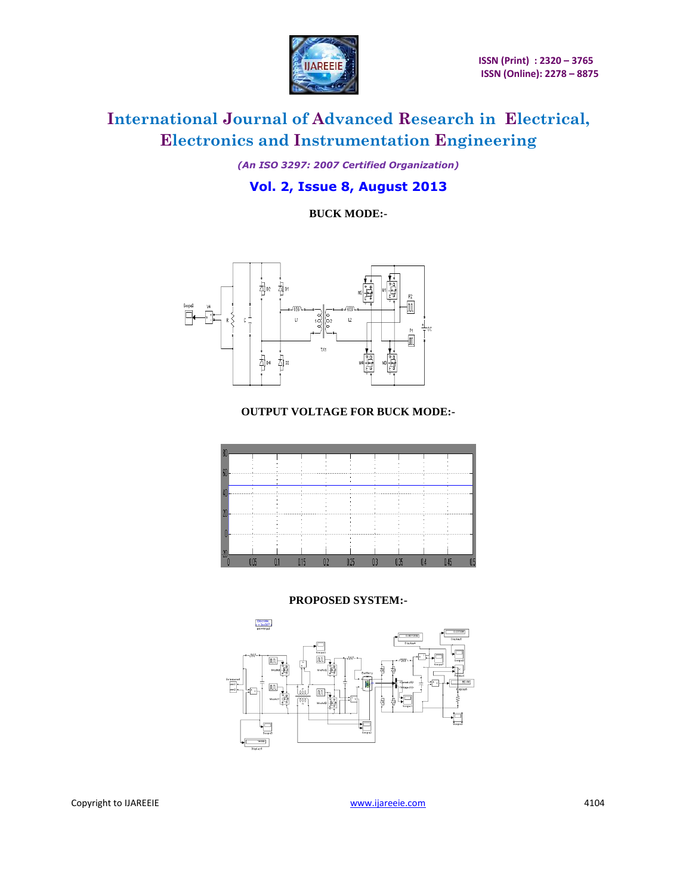

*(An ISO 3297: 2007 Certified Organization)* **Vol. 2, Issue 8, August 2013**

**BUCK MODE:-**



### **OUTPUT VOLTAGE FOR BUCK MODE:-**



#### **PROPOSED SYSTEM:-**

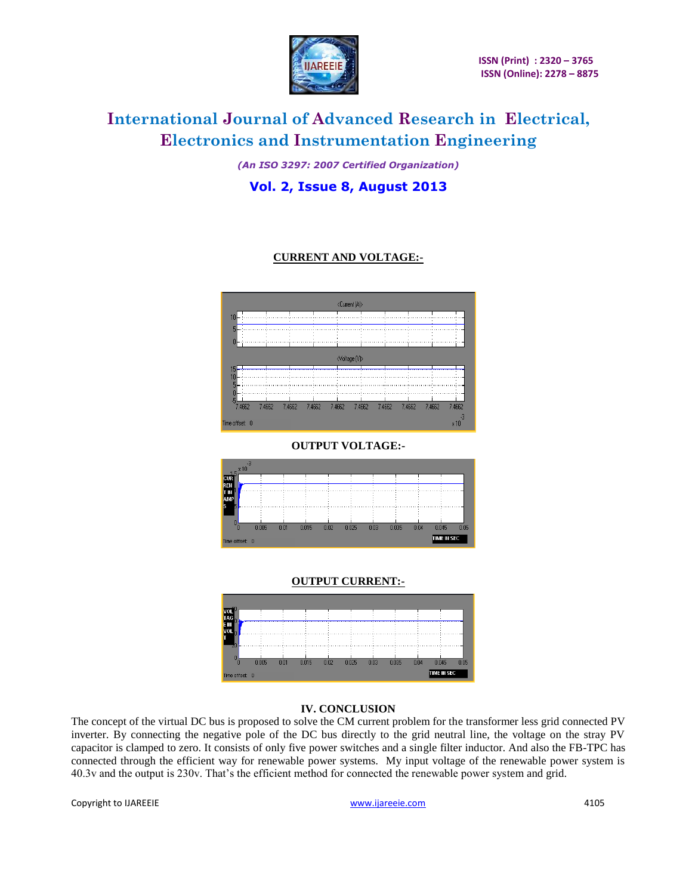

*(An ISO 3297: 2007 Certified Organization)* **Vol. 2, Issue 8, August 2013**

### **CURRENT AND VOLTAGE:-**



**OUTPUT VOLTAGE:-**



### **OUTPUT CURRENT:-**



#### **IV. CONCLUSION**

The concept of the virtual DC bus is proposed to solve the CM current problem for the transformer less grid connected PV inverter. By connecting the negative pole of the DC bus directly to the grid neutral line, the voltage on the stray PV capacitor is clamped to zero. It consists of only five power switches and a single filter inductor. And also the FB-TPC has connected through the efficient way for renewable power systems. My input voltage of the renewable power system is 40.3v and the output is 230v. That's the efficient method for connected the renewable power system and grid.